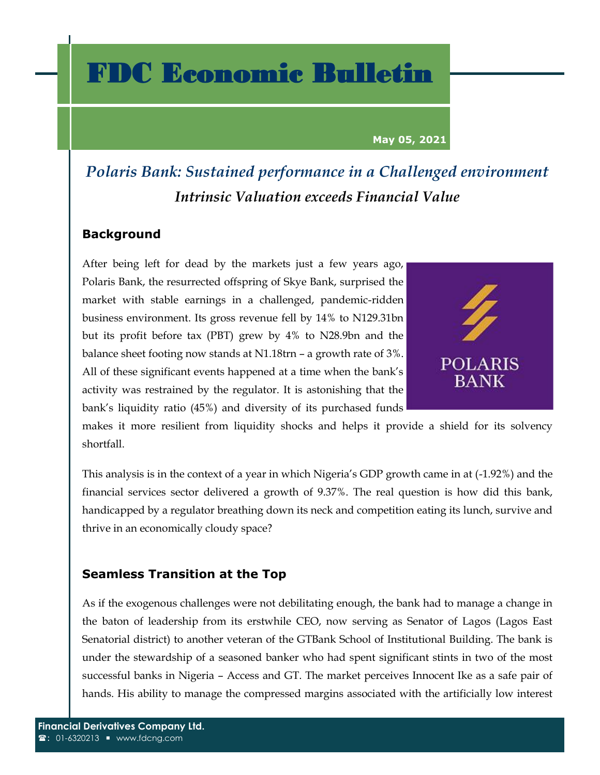## FDC Economic Bulletin

#### **May 05, 2021**

### *Polaris Bank: Sustained performance in a Challenged environment Intrinsic Valuation exceeds Financial Value*

#### **Background**

After being left for dead by the markets just a few years ago, Polaris Bank, the resurrected offspring of Skye Bank, surprised the market with stable earnings in a challenged, pandemic-ridden business environment. Its gross revenue fell by 14% to N129.31bn but its profit before tax (PBT) grew by 4% to N28.9bn and the balance sheet footing now stands at N1.18trn – a growth rate of 3%. All of these significant events happened at a time when the bank's activity was restrained by the regulator. It is astonishing that the bank's liquidity ratio (45%) and diversity of its purchased funds



makes it more resilient from liquidity shocks and helps it provide a shield for its solvency shortfall.

This analysis is in the context of a year in which Nigeria's GDP growth came in at (-1.92%) and the financial services sector delivered a growth of 9.37%. The real question is how did this bank, handicapped by a regulator breathing down its neck and competition eating its lunch, survive and thrive in an economically cloudy space?

#### **Seamless Transition at the Top**

As if the exogenous challenges were not debilitating enough, the bank had to manage a change in the baton of leadership from its erstwhile CEO, now serving as Senator of Lagos (Lagos East Senatorial district) to another veteran of the GTBank School of Institutional Building. The bank is under the stewardship of a seasoned banker who had spent significant stints in two of the most successful banks in Nigeria – Access and GT. The market perceives Innocent Ike as a safe pair of hands. His ability to manage the compressed margins associated with the artificially low interest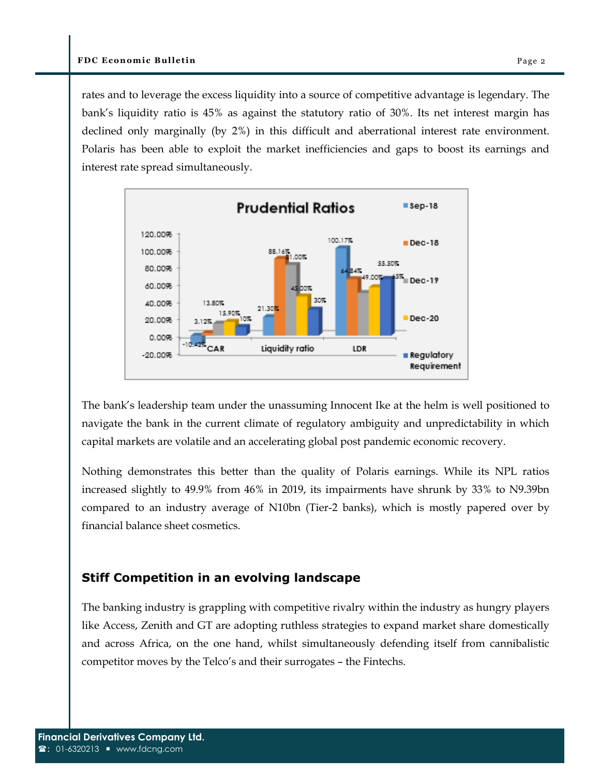rates and to leverage the excess liquidity into a source of competitive advantage is legendary. The bank's liquidity ratio is 45% as against the statutory ratio of 30%. Its net interest margin has declined only marginally (by 2%) in this difficult and aberrational interest rate environment. Polaris has been able to exploit the market inefficiencies and gaps to boost its earnings and interest rate spread simultaneously.



The bank's leadership team under the unassuming Innocent Ike at the helm is well positioned to navigate the bank in the current climate of regulatory ambiguity and unpredictability in which capital markets are volatile and an accelerating global post pandemic economic recovery.

Nothing demonstrates this better than the quality of Polaris earnings. While its NPL ratios increased slightly to 49.9% from 46% in 2019, its impairments have shrunk by 33% to N9.39bn compared to an industry average of N10bn (Tier-2 banks), which is mostly papered over by financial balance sheet cosmetics.

#### **Stiff Competition in an evolving landscape**

The banking industry is grappling with competitive rivalry within the industry as hungry players like Access, Zenith and GT are adopting ruthless strategies to expand market share domestically and across Africa, on the one hand, whilst simultaneously defending itself from cannibalistic competitor moves by the Telco's and their surrogates – the Fintechs.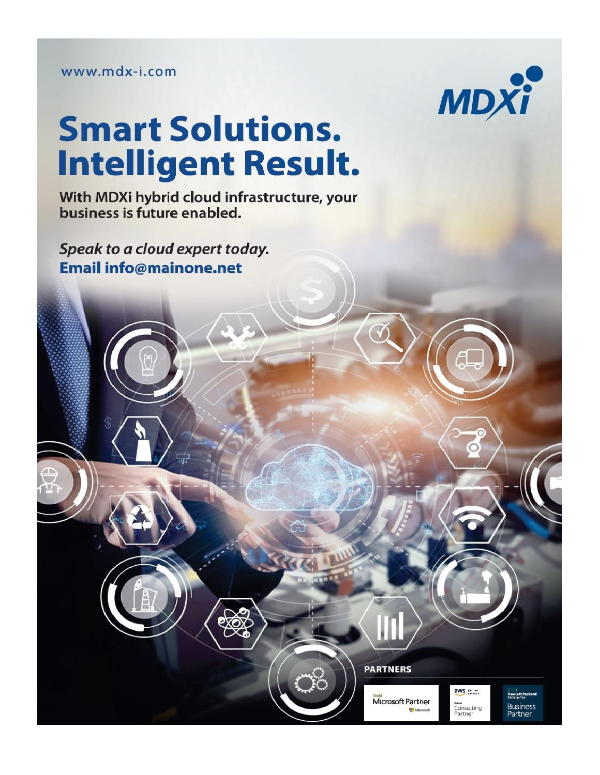www.mdx-i.com



# **Smart Solutions. Intelligent Result.**

With MDXi hybrid cloud infrastructure, your<br>business is future enabled.

Speak to a cloud expert today. **Email info@mainone.net** 



Microsoft Partner



Howlett Packard Business<br>Partner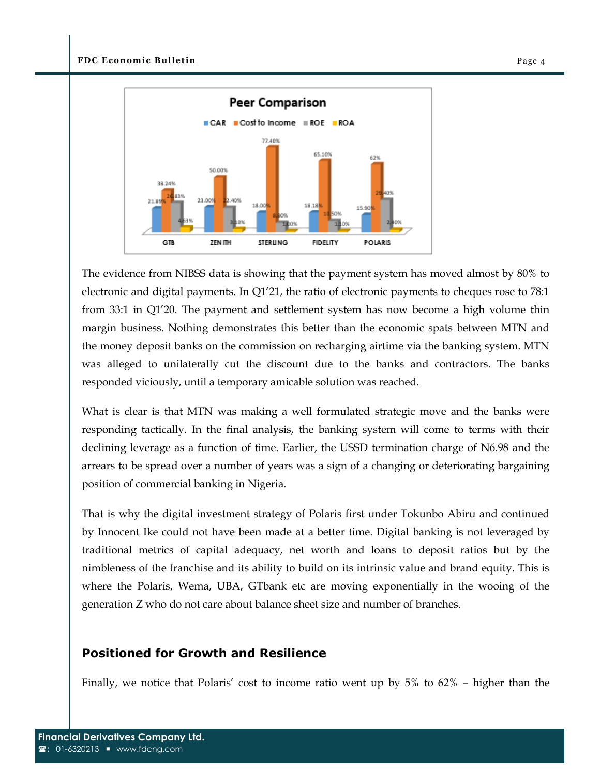

The evidence from NIBSS data is showing that the payment system has moved almost by 80% to electronic and digital payments. In Q1'21, the ratio of electronic payments to cheques rose to 78:1 from 33:1 in Q1'20. The payment and settlement system has now become a high volume thin margin business. Nothing demonstrates this better than the economic spats between MTN and the money deposit banks on the commission on recharging airtime via the banking system. MTN was alleged to unilaterally cut the discount due to the banks and contractors. The banks responded viciously, until a temporary amicable solution was reached.

What is clear is that MTN was making a well formulated strategic move and the banks were responding tactically. In the final analysis, the banking system will come to terms with their declining leverage as a function of time. Earlier, the USSD termination charge of N6.98 and the arrears to be spread over a number of years was a sign of a changing or deteriorating bargaining position of commercial banking in Nigeria.

That is why the digital investment strategy of Polaris first under Tokunbo Abiru and continued by Innocent Ike could not have been made at a better time. Digital banking is not leveraged by traditional metrics of capital adequacy, net worth and loans to deposit ratios but by the nimbleness of the franchise and its ability to build on its intrinsic value and brand equity. This is where the Polaris, Wema, UBA, GTbank etc are moving exponentially in the wooing of the generation Z who do not care about balance sheet size and number of branches.

#### **Positioned for Growth and Resilience**

Finally, we notice that Polaris' cost to income ratio went up by 5% to 62% – higher than the